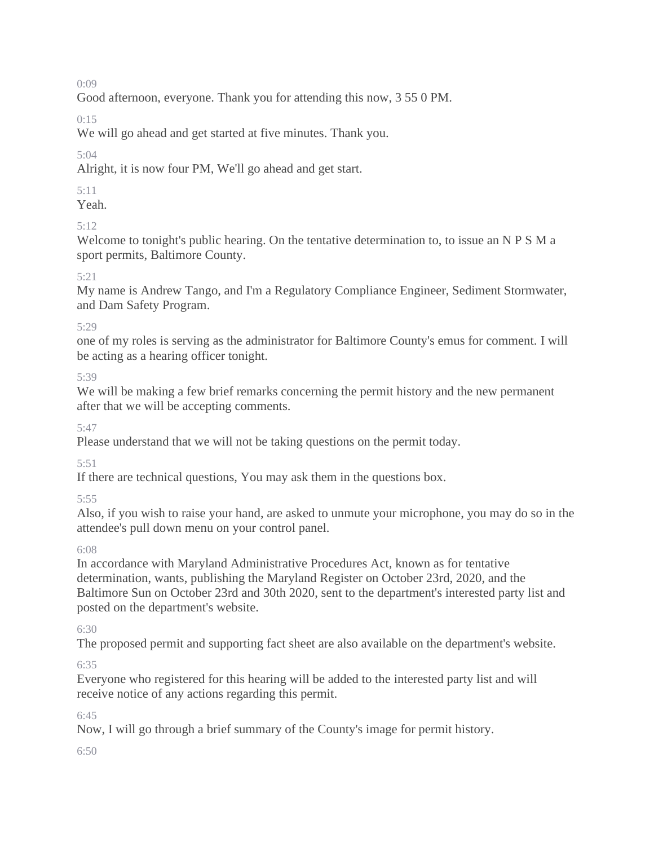Good afternoon, everyone. Thank you for attending this now, 3 55 0 PM.

0:15

We will go ahead and get started at five minutes. Thank you.

# 5:04

Alright, it is now four PM, We'll go ahead and get start.

## 5:11

Yeah.

# 5:12

Welcome to tonight's public hearing. On the tentative determination to, to issue an N P S M a sport permits, Baltimore County.

## 5:21

My name is Andrew Tango, and I'm a Regulatory Compliance Engineer, Sediment Stormwater, and Dam Safety Program.

## 5:29

one of my roles is serving as the administrator for Baltimore County's emus for comment. I will be acting as a hearing officer tonight.

5:39

We will be making a few brief remarks concerning the permit history and the new permanent after that we will be accepting comments.

5:47

Please understand that we will not be taking questions on the permit today.

5:51

If there are technical questions, You may ask them in the questions box.

5:55

Also, if you wish to raise your hand, are asked to unmute your microphone, you may do so in the attendee's pull down menu on your control panel.

## 6:08

In accordance with Maryland Administrative Procedures Act, known as for tentative determination, wants, publishing the Maryland Register on October 23rd, 2020, and the Baltimore Sun on October 23rd and 30th 2020, sent to the department's interested party list and posted on the department's website.

## 6:30

The proposed permit and supporting fact sheet are also available on the department's website.

## 6:35

Everyone who registered for this hearing will be added to the interested party list and will receive notice of any actions regarding this permit.

6:45

Now, I will go through a brief summary of the County's image for permit history.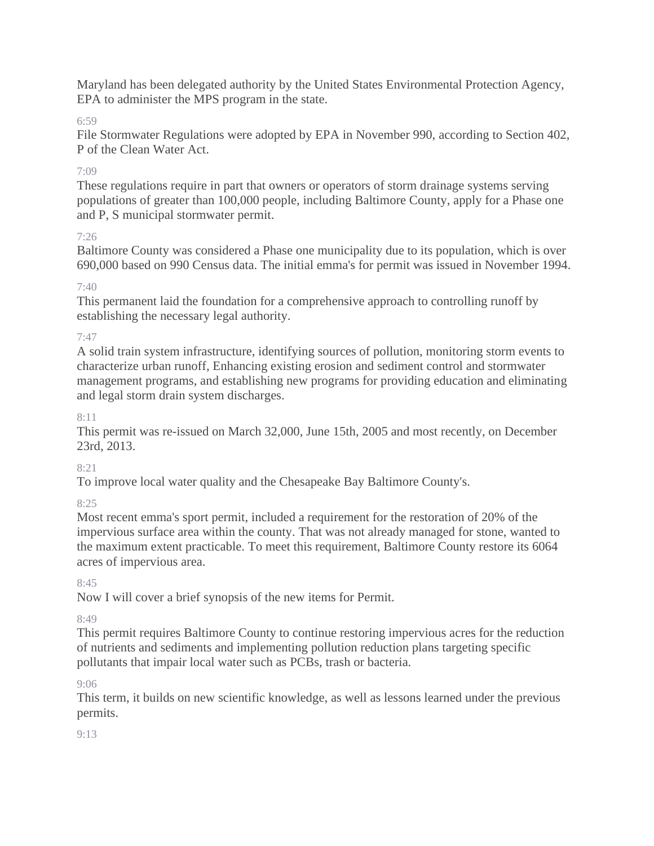Maryland has been delegated authority by the United States Environmental Protection Agency, EPA to administer the MPS program in the state.

## 6:59

File Stormwater Regulations were adopted by EPA in November 990, according to Section 402, P of the Clean Water Act.

### $7.09$

These regulations require in part that owners or operators of storm drainage systems serving populations of greater than 100,000 people, including Baltimore County, apply for a Phase one and P, S municipal stormwater permit.

#### 7:26

Baltimore County was considered a Phase one municipality due to its population, which is over 690,000 based on 990 Census data. The initial emma's for permit was issued in November 1994.

### 7:40

This permanent laid the foundation for a comprehensive approach to controlling runoff by establishing the necessary legal authority.

### 7:47

A solid train system infrastructure, identifying sources of pollution, monitoring storm events to characterize urban runoff, Enhancing existing erosion and sediment control and stormwater management programs, and establishing new programs for providing education and eliminating and legal storm drain system discharges.

#### 8:11

This permit was re-issued on March 32,000, June 15th, 2005 and most recently, on December 23rd, 2013.

#### 8:21

To improve local water quality and the Chesapeake Bay Baltimore County's.

#### $8.25$

Most recent emma's sport permit, included a requirement for the restoration of 20% of the impervious surface area within the county. That was not already managed for stone, wanted to the maximum extent practicable. To meet this requirement, Baltimore County restore its 6064 acres of impervious area.

#### 8:45

Now I will cover a brief synopsis of the new items for Permit.

## 8:49

This permit requires Baltimore County to continue restoring impervious acres for the reduction of nutrients and sediments and implementing pollution reduction plans targeting specific pollutants that impair local water such as PCBs, trash or bacteria.

#### 9:06

This term, it builds on new scientific knowledge, as well as lessons learned under the previous permits.

## $9.13$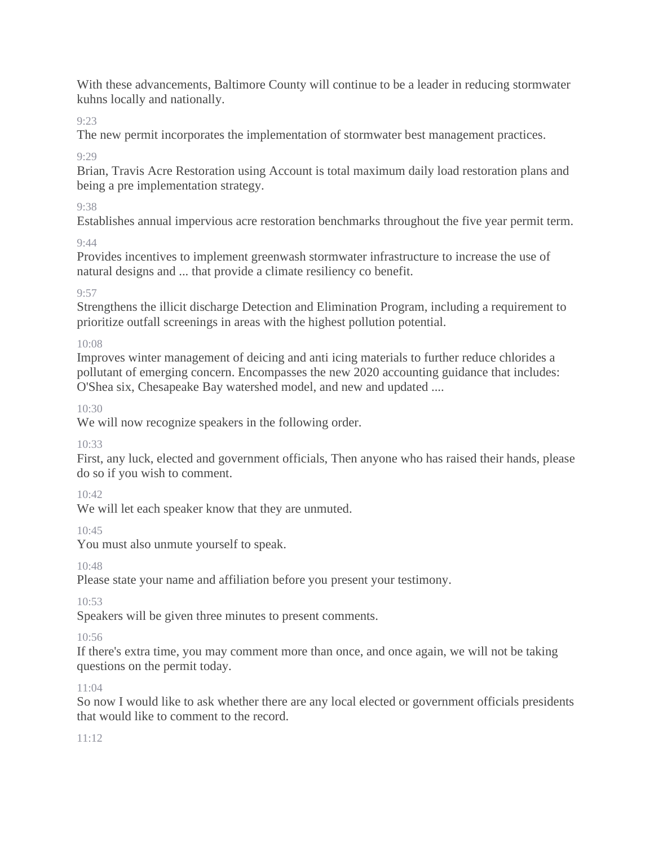With these advancements, Baltimore County will continue to be a leader in reducing stormwater kuhns locally and nationally.

9:23

The new permit incorporates the implementation of stormwater best management practices.

 $Q.2Q$ 

Brian, Travis Acre Restoration using Account is total maximum daily load restoration plans and being a pre implementation strategy.

# 9:38

Establishes annual impervious acre restoration benchmarks throughout the five year permit term.

9:44

Provides incentives to implement greenwash stormwater infrastructure to increase the use of natural designs and ... that provide a climate resiliency co benefit.

# 9:57

Strengthens the illicit discharge Detection and Elimination Program, including a requirement to prioritize outfall screenings in areas with the highest pollution potential.

# 10:08

Improves winter management of deicing and anti icing materials to further reduce chlorides a pollutant of emerging concern. Encompasses the new 2020 accounting guidance that includes: O'Shea six, Chesapeake Bay watershed model, and new and updated ....

10:30

We will now recognize speakers in the following order.

# 10:33

First, any luck, elected and government officials, Then anyone who has raised their hands, please do so if you wish to comment.

# $10.42$

We will let each speaker know that they are unmuted.

10:45

You must also unmute yourself to speak.

 $10.48$ 

Please state your name and affiliation before you present your testimony.

10:53

Speakers will be given three minutes to present comments.

# $10.56$

If there's extra time, you may comment more than once, and once again, we will not be taking questions on the permit today.

# 11:04

So now I would like to ask whether there are any local elected or government officials presidents that would like to comment to the record.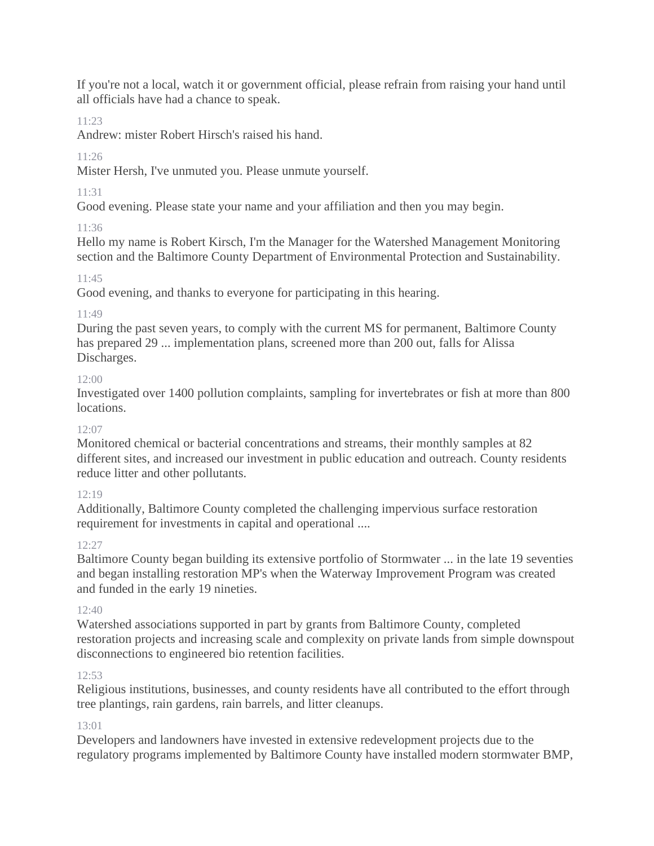If you're not a local, watch it or government official, please refrain from raising your hand until all officials have had a chance to speak.

# 11:23

Andrew: mister Robert Hirsch's raised his hand.

# $11.26$

Mister Hersh, I've unmuted you. Please unmute yourself.

# 11:31

Good evening. Please state your name and your affiliation and then you may begin.

# 11:36

Hello my name is Robert Kirsch, I'm the Manager for the Watershed Management Monitoring section and the Baltimore County Department of Environmental Protection and Sustainability.

## $11.45$

Good evening, and thanks to everyone for participating in this hearing.

## 11:49

During the past seven years, to comply with the current MS for permanent, Baltimore County has prepared 29 ... implementation plans, screened more than 200 out, falls for Alissa Discharges.

## 12:00

Investigated over 1400 pollution complaints, sampling for invertebrates or fish at more than 800 locations.

## $12.07$

Monitored chemical or bacterial concentrations and streams, their monthly samples at 82 different sites, and increased our investment in public education and outreach. County residents reduce litter and other pollutants.

# $12:19$

Additionally, Baltimore County completed the challenging impervious surface restoration requirement for investments in capital and operational ....

## 12:27

Baltimore County began building its extensive portfolio of Stormwater ... in the late 19 seventies and began installing restoration MP's when the Waterway Improvement Program was created and funded in the early 19 nineties.

## 12:40

Watershed associations supported in part by grants from Baltimore County, completed restoration projects and increasing scale and complexity on private lands from simple downspout disconnections to engineered bio retention facilities.

# 12:53

Religious institutions, businesses, and county residents have all contributed to the effort through tree plantings, rain gardens, rain barrels, and litter cleanups.

## 13:01

Developers and landowners have invested in extensive redevelopment projects due to the regulatory programs implemented by Baltimore County have installed modern stormwater BMP,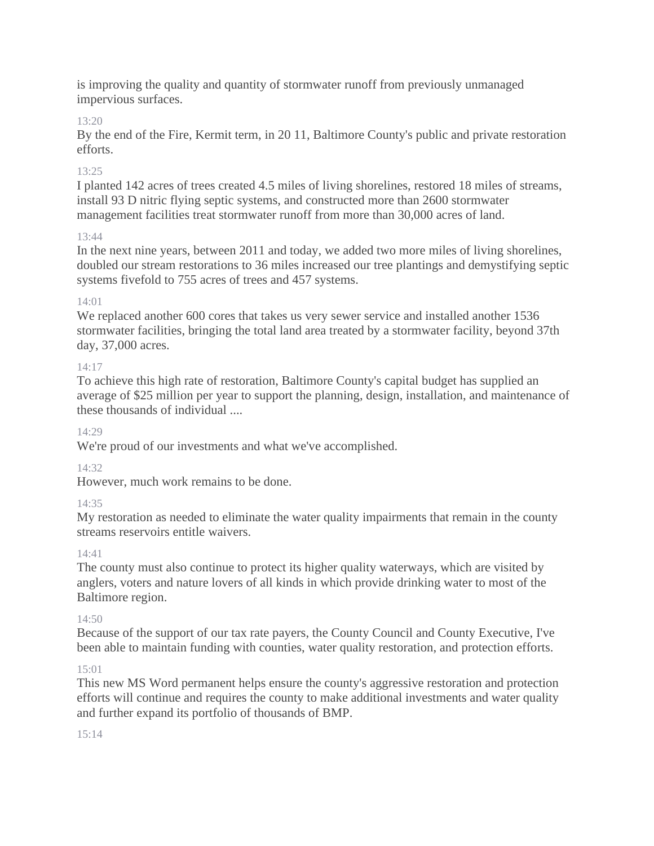is improving the quality and quantity of stormwater runoff from previously unmanaged impervious surfaces.

## 13:20

By the end of the Fire, Kermit term, in 20 11, Baltimore County's public and private restoration efforts.

## 13:25

I planted 142 acres of trees created 4.5 miles of living shorelines, restored 18 miles of streams, install 93 D nitric flying septic systems, and constructed more than 2600 stormwater management facilities treat stormwater runoff from more than 30,000 acres of land.

## 13:44

In the next nine years, between 2011 and today, we added two more miles of living shorelines, doubled our stream restorations to 36 miles increased our tree plantings and demystifying septic systems fivefold to 755 acres of trees and 457 systems.

## $14.01$

We replaced another 600 cores that takes us very sewer service and installed another 1536 stormwater facilities, bringing the total land area treated by a stormwater facility, beyond 37th day, 37,000 acres.

## 14:17

To achieve this high rate of restoration, Baltimore County's capital budget has supplied an average of \$25 million per year to support the planning, design, installation, and maintenance of these thousands of individual ....

## $14.29$

We're proud of our investments and what we've accomplished.

## 14:32

However, much work remains to be done.

# $14.35$

My restoration as needed to eliminate the water quality impairments that remain in the county streams reservoirs entitle waivers.

## 14:41

The county must also continue to protect its higher quality waterways, which are visited by anglers, voters and nature lovers of all kinds in which provide drinking water to most of the Baltimore region.

## $14.50$

Because of the support of our tax rate payers, the County Council and County Executive, I've been able to maintain funding with counties, water quality restoration, and protection efforts.

# 15:01

This new MS Word permanent helps ensure the county's aggressive restoration and protection efforts will continue and requires the county to make additional investments and water quality and further expand its portfolio of thousands of BMP.

## $15.14$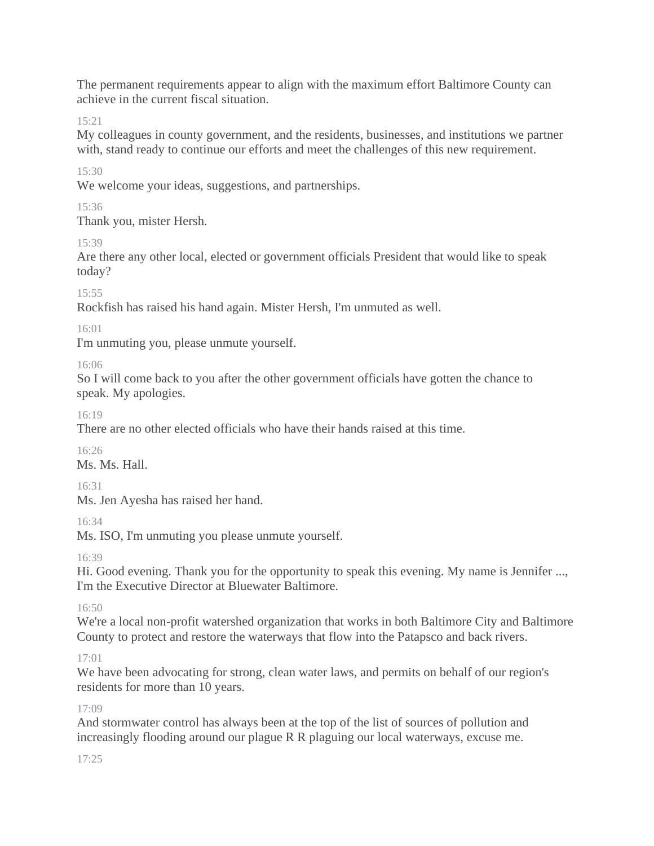The permanent requirements appear to align with the maximum effort Baltimore County can achieve in the current fiscal situation.

 $15.21$ 

My colleagues in county government, and the residents, businesses, and institutions we partner with, stand ready to continue our efforts and meet the challenges of this new requirement.

15:30

We welcome your ideas, suggestions, and partnerships.

15:36

Thank you, mister Hersh.

15:39

Are there any other local, elected or government officials President that would like to speak today?

15:55

Rockfish has raised his hand again. Mister Hersh, I'm unmuted as well.

16:01

I'm unmuting you, please unmute yourself.

16:06

So I will come back to you after the other government officials have gotten the chance to speak. My apologies.

16:19

There are no other elected officials who have their hands raised at this time.

16:26

Ms. Ms. Hall.

16:31

Ms. Jen Ayesha has raised her hand.

16:34

Ms. ISO, I'm unmuting you please unmute yourself.

16:39

Hi. Good evening. Thank you for the opportunity to speak this evening. My name is Jennifer ..., I'm the Executive Director at Bluewater Baltimore.

 $16:50$ 

We're a local non-profit watershed organization that works in both Baltimore City and Baltimore County to protect and restore the waterways that flow into the Patapsco and back rivers.

 $17:01$ 

We have been advocating for strong, clean water laws, and permits on behalf of our region's residents for more than 10 years.

17:09

And stormwater control has always been at the top of the list of sources of pollution and increasingly flooding around our plague R R plaguing our local waterways, excuse me.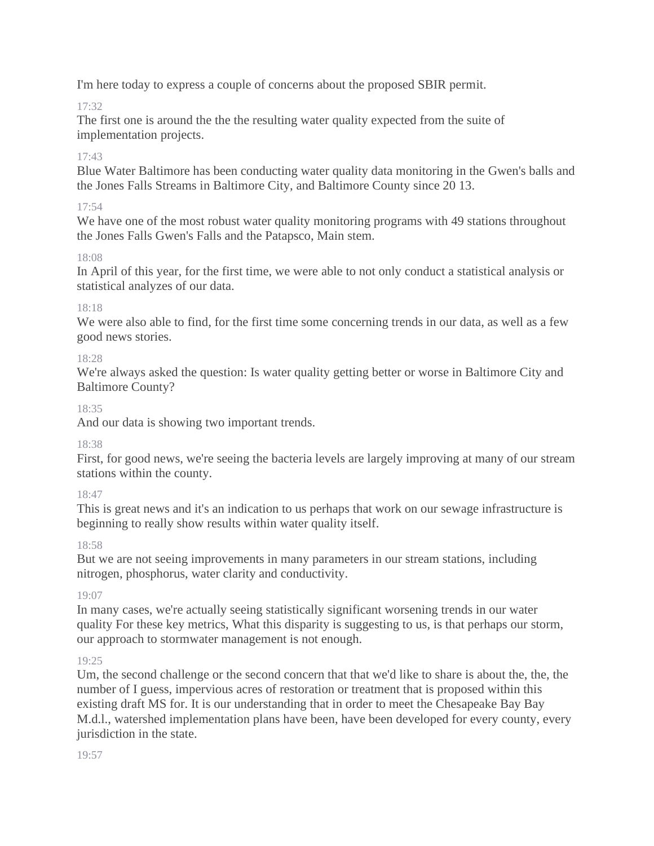I'm here today to express a couple of concerns about the proposed SBIR permit.

# 17:32

The first one is around the the the resulting water quality expected from the suite of implementation projects.

# $17.43$

Blue Water Baltimore has been conducting water quality data monitoring in the Gwen's balls and the Jones Falls Streams in Baltimore City, and Baltimore County since 20 13.

## 17:54

We have one of the most robust water quality monitoring programs with 49 stations throughout the Jones Falls Gwen's Falls and the Patapsco, Main stem.

## 18:08

In April of this year, for the first time, we were able to not only conduct a statistical analysis or statistical analyzes of our data.

## 18:18

We were also able to find, for the first time some concerning trends in our data, as well as a few good news stories.

## 18:28

We're always asked the question: Is water quality getting better or worse in Baltimore City and Baltimore County?

## 18:35

And our data is showing two important trends.

## 18:38

First, for good news, we're seeing the bacteria levels are largely improving at many of our stream stations within the county.

## 18:47

This is great news and it's an indication to us perhaps that work on our sewage infrastructure is beginning to really show results within water quality itself.

## 18:58

But we are not seeing improvements in many parameters in our stream stations, including nitrogen, phosphorus, water clarity and conductivity.

## 19:07

In many cases, we're actually seeing statistically significant worsening trends in our water quality For these key metrics, What this disparity is suggesting to us, is that perhaps our storm, our approach to stormwater management is not enough.

## 19:25

Um, the second challenge or the second concern that that we'd like to share is about the, the, the number of I guess, impervious acres of restoration or treatment that is proposed within this existing draft MS for. It is our understanding that in order to meet the Chesapeake Bay Bay M.d.l., watershed implementation plans have been, have been developed for every county, every jurisdiction in the state.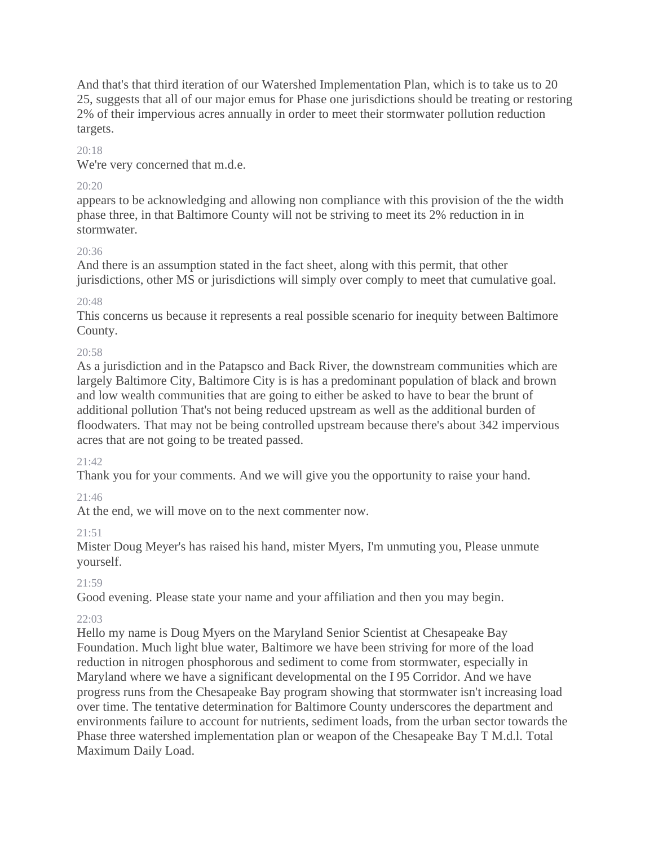And that's that third iteration of our Watershed Implementation Plan, which is to take us to 20 25, suggests that all of our major emus for Phase one jurisdictions should be treating or restoring 2% of their impervious acres annually in order to meet their stormwater pollution reduction targets.

### 20:18

We're very concerned that m.d.e.

### 20:20

appears to be acknowledging and allowing non compliance with this provision of the the width phase three, in that Baltimore County will not be striving to meet its 2% reduction in in stormwater.

### $20.36$

And there is an assumption stated in the fact sheet, along with this permit, that other jurisdictions, other MS or jurisdictions will simply over comply to meet that cumulative goal.

## $20.48$

This concerns us because it represents a real possible scenario for inequity between Baltimore County.

### 20:58

As a jurisdiction and in the Patapsco and Back River, the downstream communities which are largely Baltimore City, Baltimore City is is has a predominant population of black and brown and low wealth communities that are going to either be asked to have to bear the brunt of additional pollution That's not being reduced upstream as well as the additional burden of floodwaters. That may not be being controlled upstream because there's about 342 impervious acres that are not going to be treated passed.

## 21:42

Thank you for your comments. And we will give you the opportunity to raise your hand.

## $21.46$

At the end, we will move on to the next commenter now.

## 21:51

Mister Doug Meyer's has raised his hand, mister Myers, I'm unmuting you, Please unmute yourself.

## 21:59

Good evening. Please state your name and your affiliation and then you may begin.

## $22:03$

Hello my name is Doug Myers on the Maryland Senior Scientist at Chesapeake Bay Foundation. Much light blue water, Baltimore we have been striving for more of the load reduction in nitrogen phosphorous and sediment to come from stormwater, especially in Maryland where we have a significant developmental on the I 95 Corridor. And we have progress runs from the Chesapeake Bay program showing that stormwater isn't increasing load over time. The tentative determination for Baltimore County underscores the department and environments failure to account for nutrients, sediment loads, from the urban sector towards the Phase three watershed implementation plan or weapon of the Chesapeake Bay T M.d.l. Total Maximum Daily Load.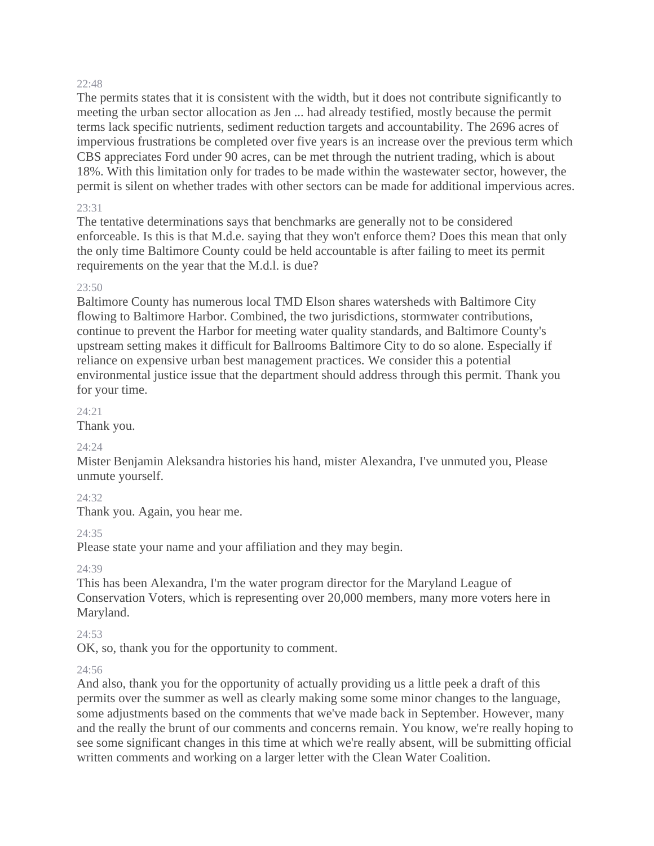The permits states that it is consistent with the width, but it does not contribute significantly to meeting the urban sector allocation as Jen ... had already testified, mostly because the permit terms lack specific nutrients, sediment reduction targets and accountability. The 2696 acres of impervious frustrations be completed over five years is an increase over the previous term which CBS appreciates Ford under 90 acres, can be met through the nutrient trading, which is about 18%. With this limitation only for trades to be made within the wastewater sector, however, the permit is silent on whether trades with other sectors can be made for additional impervious acres.

#### 23:31

The tentative determinations says that benchmarks are generally not to be considered enforceable. Is this is that M.d.e. saying that they won't enforce them? Does this mean that only the only time Baltimore County could be held accountable is after failing to meet its permit requirements on the year that the M.d.l. is due?

#### 23:50

Baltimore County has numerous local TMD Elson shares watersheds with Baltimore City flowing to Baltimore Harbor. Combined, the two jurisdictions, stormwater contributions, continue to prevent the Harbor for meeting water quality standards, and Baltimore County's upstream setting makes it difficult for Ballrooms Baltimore City to do so alone. Especially if reliance on expensive urban best management practices. We consider this a potential environmental justice issue that the department should address through this permit. Thank you for your time.

#### 24:21

Thank you.

#### 24:24

Mister Benjamin Aleksandra histories his hand, mister Alexandra, I've unmuted you, Please unmute yourself.

#### 24:32

Thank you. Again, you hear me.

#### $24.35$

Please state your name and your affiliation and they may begin.

#### 24:39

This has been Alexandra, I'm the water program director for the Maryland League of Conservation Voters, which is representing over 20,000 members, many more voters here in Maryland.

#### 24:53

OK, so, thank you for the opportunity to comment.

#### 24:56

And also, thank you for the opportunity of actually providing us a little peek a draft of this permits over the summer as well as clearly making some some minor changes to the language, some adjustments based on the comments that we've made back in September. However, many and the really the brunt of our comments and concerns remain. You know, we're really hoping to see some significant changes in this time at which we're really absent, will be submitting official written comments and working on a larger letter with the Clean Water Coalition.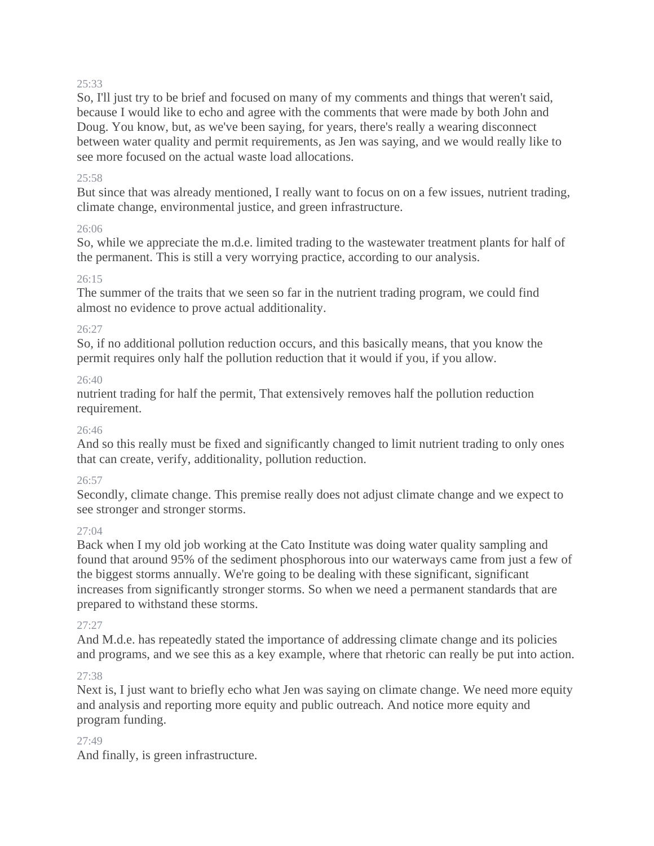So, I'll just try to be brief and focused on many of my comments and things that weren't said, because I would like to echo and agree with the comments that were made by both John and Doug. You know, but, as we've been saying, for years, there's really a wearing disconnect between water quality and permit requirements, as Jen was saying, and we would really like to see more focused on the actual waste load allocations.

#### 25:58

But since that was already mentioned, I really want to focus on on a few issues, nutrient trading, climate change, environmental justice, and green infrastructure.

#### 26:06

So, while we appreciate the m.d.e. limited trading to the wastewater treatment plants for half of the permanent. This is still a very worrying practice, according to our analysis.

#### 26:15

The summer of the traits that we seen so far in the nutrient trading program, we could find almost no evidence to prove actual additionality.

#### 26:27

So, if no additional pollution reduction occurs, and this basically means, that you know the permit requires only half the pollution reduction that it would if you, if you allow.

#### 26:40

nutrient trading for half the permit, That extensively removes half the pollution reduction requirement.

#### 26:46

And so this really must be fixed and significantly changed to limit nutrient trading to only ones that can create, verify, additionality, pollution reduction.

#### 26:57

Secondly, climate change. This premise really does not adjust climate change and we expect to see stronger and stronger storms.

#### 27:04

Back when I my old job working at the Cato Institute was doing water quality sampling and found that around 95% of the sediment phosphorous into our waterways came from just a few of the biggest storms annually. We're going to be dealing with these significant, significant increases from significantly stronger storms. So when we need a permanent standards that are prepared to withstand these storms.

#### 27:27

And M.d.e. has repeatedly stated the importance of addressing climate change and its policies and programs, and we see this as a key example, where that rhetoric can really be put into action.

#### 27:38

Next is, I just want to briefly echo what Jen was saying on climate change. We need more equity and analysis and reporting more equity and public outreach. And notice more equity and program funding.

#### 27:49

And finally, is green infrastructure.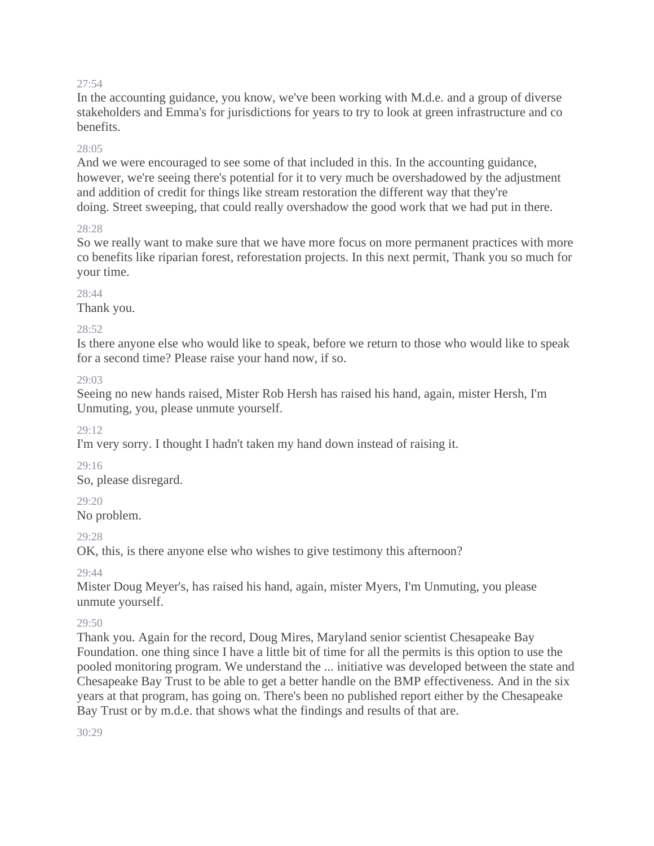In the accounting guidance, you know, we've been working with M.d.e. and a group of diverse stakeholders and Emma's for jurisdictions for years to try to look at green infrastructure and co benefits.

#### 28:05

And we were encouraged to see some of that included in this. In the accounting guidance, however, we're seeing there's potential for it to very much be overshadowed by the adjustment and addition of credit for things like stream restoration the different way that they're doing. Street sweeping, that could really overshadow the good work that we had put in there.

### 28:28

So we really want to make sure that we have more focus on more permanent practices with more co benefits like riparian forest, reforestation projects. In this next permit, Thank you so much for your time.

### $28.44$

Thank you.

### 28:52

Is there anyone else who would like to speak, before we return to those who would like to speak for a second time? Please raise your hand now, if so.

29:03

Seeing no new hands raised, Mister Rob Hersh has raised his hand, again, mister Hersh, I'm Unmuting, you, please unmute yourself.

29:12

I'm very sorry. I thought I hadn't taken my hand down instead of raising it.

29:16

So, please disregard.

## 29:20

No problem.

## 29:28

OK, this, is there anyone else who wishes to give testimony this afternoon?

 $29.44$ 

Mister Doug Meyer's, has raised his hand, again, mister Myers, I'm Unmuting, you please unmute yourself.

#### 29:50

Thank you. Again for the record, Doug Mires, Maryland senior scientist Chesapeake Bay Foundation. one thing since I have a little bit of time for all the permits is this option to use the pooled monitoring program. We understand the ... initiative was developed between the state and Chesapeake Bay Trust to be able to get a better handle on the BMP effectiveness. And in the six years at that program, has going on. There's been no published report either by the Chesapeake Bay Trust or by m.d.e. that shows what the findings and results of that are.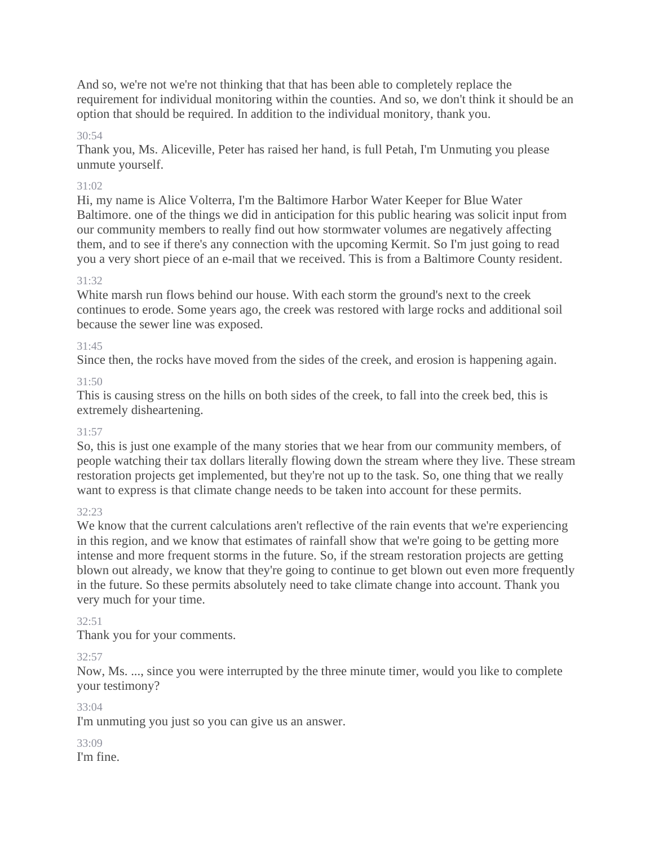And so, we're not we're not thinking that that has been able to completely replace the requirement for individual monitoring within the counties. And so, we don't think it should be an option that should be required. In addition to the individual monitory, thank you.

#### $30.54$

Thank you, Ms. Aliceville, Peter has raised her hand, is full Petah, I'm Unmuting you please unmute yourself.

#### 31:02

Hi, my name is Alice Volterra, I'm the Baltimore Harbor Water Keeper for Blue Water Baltimore. one of the things we did in anticipation for this public hearing was solicit input from our community members to really find out how stormwater volumes are negatively affecting them, and to see if there's any connection with the upcoming Kermit. So I'm just going to read you a very short piece of an e-mail that we received. This is from a Baltimore County resident.

#### $31.32$

White marsh run flows behind our house. With each storm the ground's next to the creek continues to erode. Some years ago, the creek was restored with large rocks and additional soil because the sewer line was exposed.

#### 31:45

Since then, the rocks have moved from the sides of the creek, and erosion is happening again.

#### 31:50

This is causing stress on the hills on both sides of the creek, to fall into the creek bed, this is extremely disheartening.

#### 31:57

So, this is just one example of the many stories that we hear from our community members, of people watching their tax dollars literally flowing down the stream where they live. These stream restoration projects get implemented, but they're not up to the task. So, one thing that we really want to express is that climate change needs to be taken into account for these permits.

#### $32.23$

We know that the current calculations aren't reflective of the rain events that we're experiencing in this region, and we know that estimates of rainfall show that we're going to be getting more intense and more frequent storms in the future. So, if the stream restoration projects are getting blown out already, we know that they're going to continue to get blown out even more frequently in the future. So these permits absolutely need to take climate change into account. Thank you very much for your time.

#### $32:51$

Thank you for your comments.

#### 32:57

Now, Ms. ..., since you were interrupted by the three minute timer, would you like to complete your testimony?

#### 33:04

I'm unmuting you just so you can give us an answer.

#### 33:09 I'm fine.